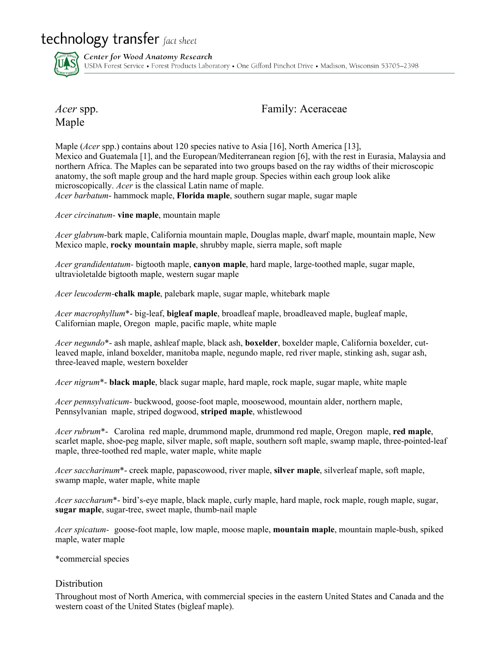technology transfer fact sheet



Center for Wood Anatomy Research USDA Forest Service • Forest Products Laboratory • One Gifford Pinchot Drive • Madison, Wisconsin 53705-2398

Maple

*Acer* spp. **Family:** Aceraceae

Maple (*Acer* spp.) contains about 120 species native to Asia [16], North America [13], Mexico and Guatemala [1], and the European/Mediterranean region [6], with the rest in Eurasia, Malaysia and northern Africa. The Maples can be separated into two groups based on the ray widths of their microscopic anatomy, the soft maple group and the hard maple group. Species within each group look alike microscopically. *Acer* is the classical Latin name of maple. *Acer barbatum*- hammock maple, **Florida maple**, southern sugar maple, sugar maple

*Acer circinatum-* **vine maple**, mountain maple

*Acer glabrum*-bark maple, California mountain maple, Douglas maple, dwarf maple, mountain maple, New Mexico maple, **rocky mountain maple**, shrubby maple, sierra maple, soft maple

*Acer grandidentatum-* bigtooth maple, **canyon maple**, hard maple, large-toothed maple, sugar maple, ultravioletalde bigtooth maple, western sugar maple

*Acer leucoderm-***chalk maple**, palebark maple, sugar maple, whitebark maple

*Acer macrophyllum*\*- big-leaf, **bigleaf maple**, broadleaf maple, broadleaved maple, bugleaf maple, Californian maple, Oregon maple, pacific maple, white maple

*Acer negundo*\*- ash maple, ashleaf maple, black ash, **boxelder**, boxelder maple, California boxelder, cutleaved maple, inland boxelder, manitoba maple, negundo maple, red river maple, stinking ash, sugar ash, three-leaved maple, western boxelder

*Acer nigrum*\*- **black maple**, black sugar maple, hard maple, rock maple, sugar maple, white maple

*Acer pennsylvaticum-* buckwood, goose-foot maple, moosewood, mountain alder, northern maple, Pennsylvanian maple, striped dogwood, **striped maple**, whistlewood

*Acer rubrum*\*- Carolina red maple, drummond maple, drummond red maple, Oregon maple, **red maple**, scarlet maple, shoe-peg maple, silver maple, soft maple, southern soft maple, swamp maple, three-pointed-leaf maple, three-toothed red maple, water maple, white maple

*Acer saccharinum*\*- creek maple, papascowood, river maple, **silver maple**, silverleaf maple, soft maple, swamp maple, water maple, white maple

*Acer saccharum*\*- bird's-eye maple, black maple, curly maple, hard maple, rock maple, rough maple, sugar, **sugar maple**, sugar-tree, sweet maple, thumb-nail maple

*Acer spicatum-* goose-foot maple, low maple, moose maple, **mountain maple**, mountain maple-bush, spiked maple, water maple

\*commercial species

### Distribution

Throughout most of North America, with commercial species in the eastern United States and Canada and the western coast of the United States (bigleaf maple).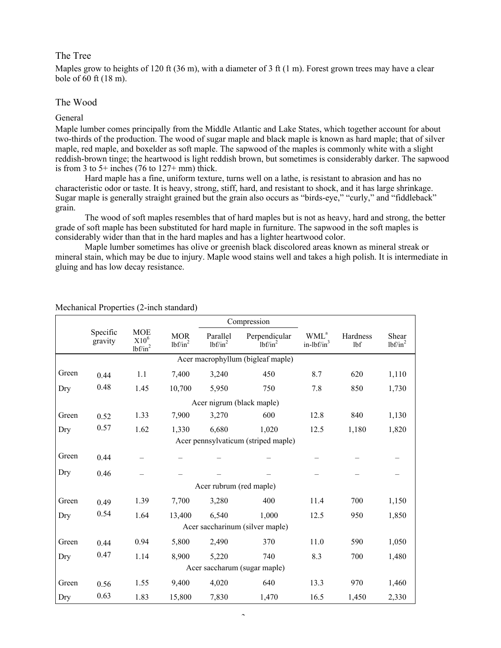### The Tree

Maples grow to heights of 120 ft (36 m), with a diameter of 3 ft (1 m). Forest grown trees may have a clear bole of 60 ft (18 m).

#### The Wood

#### General

Maple lumber comes principally from the Middle Atlantic and Lake States, which together account for about two-thirds of the production. The wood of sugar maple and black maple is known as hard maple; that of silver maple, red maple, and boxelder as soft maple. The sapwood of the maples is commonly white with a slight reddish-brown tinge; the heartwood is light reddish brown, but sometimes is considerably darker. The sapwood is from 3 to  $5+$  inches (76 to  $127+$  mm) thick.

Hard maple has a fine, uniform texture, turns well on a lathe, is resistant to abrasion and has no characteristic odor or taste. It is heavy, strong, stiff, hard, and resistant to shock, and it has large shrinkage. Sugar maple is generally straight grained but the grain also occurs as "birds-eye," "curly," and "fiddleback" grain.

The wood of soft maples resembles that of hard maples but is not as heavy, hard and strong, the better grade of soft maple has been substituted for hard maple in furniture. The sapwood in the soft maples is considerably wider than that in the hard maples and has a lighter heartwood color.

Maple lumber sometimes has olive or greenish black discolored areas known as mineral streak or mineral stain, which may be due to injury. Maple wood stains well and takes a high polish. It is intermediate in gluing and has low decay resistance.

|                                     | Compression         |                                     |                          |                        |                             |                                  |                 |                     |  |
|-------------------------------------|---------------------|-------------------------------------|--------------------------|------------------------|-----------------------------|----------------------------------|-----------------|---------------------|--|
|                                     | Specific<br>gravity | <b>MOE</b><br>$X10^6$<br>$lbf/in^2$ | <b>MOR</b><br>$lbf/in^2$ | Parallel<br>$lbf/in^2$ | Perpendicular<br>$lbf/in^2$ | WML <sup>a</sup><br>$in-lbf/in3$ | Hardness<br>lbf | Shear<br>$lbf/in^2$ |  |
| Acer macrophyllum (bigleaf maple)   |                     |                                     |                          |                        |                             |                                  |                 |                     |  |
| Green                               | 0.44                | 1.1                                 | 7,400                    | 3,240                  | 450                         | 8.7                              | 620             | 1,110               |  |
| Dry                                 | 0.48                | 1.45                                | 10,700                   | 5,950                  | 750                         | 7.8                              | 850             | 1,730               |  |
| Acer nigrum (black maple)           |                     |                                     |                          |                        |                             |                                  |                 |                     |  |
| Green                               | 0.52                | 1.33                                | 7,900                    | 3,270                  | 600                         | 12.8                             | 840             | 1,130               |  |
| Dry                                 | 0.57                | 1.62                                | 1,330                    | 6,680                  | 1,020                       | 12.5                             | 1,180           | 1,820               |  |
| Acer pennsylvaticum (striped maple) |                     |                                     |                          |                        |                             |                                  |                 |                     |  |
| Green                               | 0.44                |                                     |                          |                        |                             |                                  |                 |                     |  |
| Dry                                 | 0.46                |                                     |                          |                        |                             |                                  |                 |                     |  |
| Acer rubrum (red maple)             |                     |                                     |                          |                        |                             |                                  |                 |                     |  |
| Green                               | 0.49                | 1.39                                | 7,700                    | 3,280                  | 400                         | 11.4                             | 700             | 1,150               |  |
| Dry                                 | 0.54                | 1.64                                | 13,400                   | 6,540                  | 1,000                       | 12.5                             | 950             | 1,850               |  |
| Acer saccharinum (silver maple)     |                     |                                     |                          |                        |                             |                                  |                 |                     |  |
| Green                               | 0.44                | 0.94                                | 5,800                    | 2,490                  | 370                         | 11.0                             | 590             | 1,050               |  |
| Dry                                 | 0.47                | 1.14                                | 8,900                    | 5,220                  | 740                         | 8.3                              | 700             | 1,480               |  |
| Acer saccharum (sugar maple)        |                     |                                     |                          |                        |                             |                                  |                 |                     |  |
| Green                               | 0.56                | 1.55                                | 9,400                    | 4,020                  | 640                         | 13.3                             | 970             | 1,460               |  |
| Dry                                 | 0.63                | 1.83                                | 15,800                   | 7,830                  | 1,470                       | 16.5                             | 1,450           | 2,330               |  |

Mechanical Properties (2-inch standard)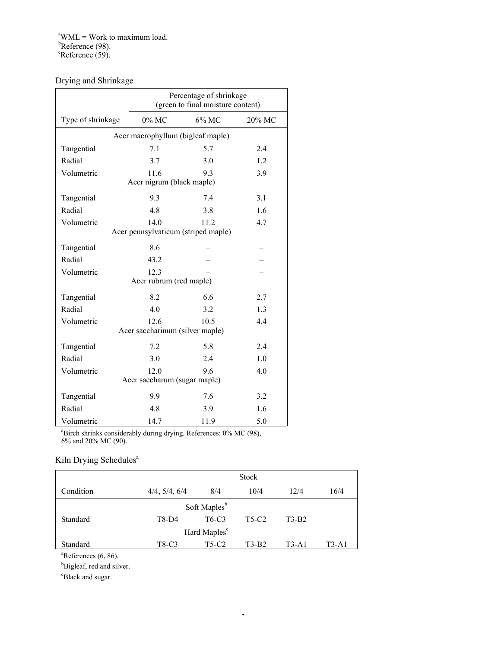# Drying and Shrinkage

|                                                              | Percentage of shrinkage<br>(green to final moisture content) |       |        |  |  |  |  |  |  |
|--------------------------------------------------------------|--------------------------------------------------------------|-------|--------|--|--|--|--|--|--|
| Type of shrinkage                                            | $0\%$ MC                                                     | 6% MC | 20% MC |  |  |  |  |  |  |
| Acer macrophyllum (bigleaf maple)                            |                                                              |       |        |  |  |  |  |  |  |
| Tangential                                                   | 7.1                                                          | 5.7   | 2.4    |  |  |  |  |  |  |
| Radial                                                       | 3.7                                                          | 3.0   | 1.2    |  |  |  |  |  |  |
| Volumetric<br>11.6<br>93<br>3.9<br>Acer nigrum (black maple) |                                                              |       |        |  |  |  |  |  |  |
| Tangential                                                   | 9.3                                                          | 74    | 3.1    |  |  |  |  |  |  |
| Radial                                                       | 4.8                                                          | 3.8   | 1.6    |  |  |  |  |  |  |
| Volumetric                                                   | 140                                                          | 11.2  | 4.7    |  |  |  |  |  |  |
| Acer pennsylvaticum (striped maple)                          |                                                              |       |        |  |  |  |  |  |  |
| Tangential                                                   | 8.6                                                          |       |        |  |  |  |  |  |  |
| Radial                                                       | 43.2                                                         |       |        |  |  |  |  |  |  |
| Volumetric                                                   | 12.3                                                         |       |        |  |  |  |  |  |  |
| Acer rubrum (red maple)                                      |                                                              |       |        |  |  |  |  |  |  |
| Tangential                                                   | 8.2                                                          | 6.6   | 2.7    |  |  |  |  |  |  |
| Radial                                                       | 4.0                                                          | 3.2   | 1.3    |  |  |  |  |  |  |
| Volumetric                                                   | 12.6                                                         | 10.5  | 4.4    |  |  |  |  |  |  |
| Acer saccharinum (silver maple)                              |                                                              |       |        |  |  |  |  |  |  |
| Tangential                                                   | 7.2                                                          | 5.8   | 2.4    |  |  |  |  |  |  |
| Radial                                                       | 3.0                                                          | 2.4   | 1.0    |  |  |  |  |  |  |
| Volumetric                                                   | 12.0                                                         | 9.6   | 4.0    |  |  |  |  |  |  |
| Acer saccharum (sugar maple)                                 |                                                              |       |        |  |  |  |  |  |  |
| Tangential                                                   | 9.9                                                          | 7.6   | 3.2    |  |  |  |  |  |  |
| Radial                                                       | 4.8                                                          | 3.9   | 1.6    |  |  |  |  |  |  |
| Volumetric                                                   | 14.7                                                         | 11.9  | 5.0    |  |  |  |  |  |  |

<sup>a</sup>Birch shrinks considerably during drying. References: 0% MC (98), 6% and 20% MC (90).

# Kiln Drying Schedules<sup>a</sup>

|                          | <b>Stock</b>  |                                |       |         |       |  |  |  |
|--------------------------|---------------|--------------------------------|-------|---------|-------|--|--|--|
| Condition                | 4/4, 5/4, 6/4 | 8/4                            | 10/4  | 12/4    | 16/4  |  |  |  |
| Soft Maples <sup>b</sup> |               |                                |       |         |       |  |  |  |
| Standard                 | T8-D4         | T <sub>6</sub> -C <sub>3</sub> | T5-C2 | $T3-B2$ |       |  |  |  |
| Hard Maples <sup>c</sup> |               |                                |       |         |       |  |  |  |
| Standard                 | T8-C3         | T5-C2                          | T3-B2 | $T3-A1$ | T3-A1 |  |  |  |

 ${}^{a}$ References (6, 86).

<sup>b</sup>Bigleaf, red and silver.

<sup>c</sup>Black and sugar.